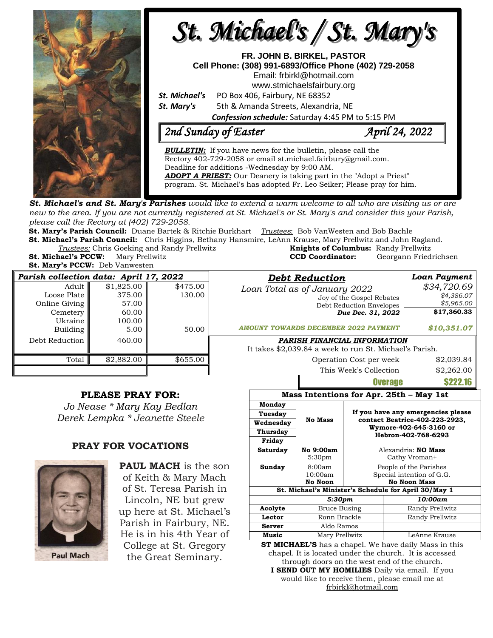

**St. Michael's and St. Mary's Parishes** would like to extend a warm welcome to all who are visiting us or are new to the area. If you are not currently registered at St. Michael's or St. Mary's and consider this your Parish, *please call the Rectory at (402) 729-2058.* 

**St. Mary's Parish Council:** Duane Bartek & Ritchie Burkhart *Trustees*: Bob VanWesten and Bob Bachle

**St. Michael's Parish Council:** Chris Higgins, Bethany Hansmire, LeAnn Krause, Mary Prellwitz and John Ragland. *Trustees:* Chris Goeking and Randy Prellwitz **Knights of Columbus:** Randy Prellwitz **St. Michael's PCCW:** Mary Prellwitz **CCD Coordinator:** Georgann Friedrichsen

**St. Mary's PCCW:** Deb Vanwesten

| $\frac{1}{2}$ $\frac{1}{2}$ $\frac{1}{2}$ $\frac{1}{2}$ $\frac{1}{2}$ $\frac{1}{2}$ $\frac{1}{2}$ $\frac{1}{2}$ $\frac{1}{2}$ $\frac{1}{2}$ $\frac{1}{2}$ $\frac{1}{2}$ $\frac{1}{2}$ $\frac{1}{2}$ $\frac{1}{2}$ $\frac{1}{2}$ $\frac{1}{2}$ $\frac{1}{2}$ $\frac{1}{2}$ $\frac{1}{2}$ $\frac{1}{2}$ $\frac{1}{2}$ |            |          |                                                                            |              |  |
|---------------------------------------------------------------------------------------------------------------------------------------------------------------------------------------------------------------------------------------------------------------------------------------------------------------------|------------|----------|----------------------------------------------------------------------------|--------------|--|
| Parish collection data: April 17, 2022                                                                                                                                                                                                                                                                              |            |          | <b>Debt Reduction</b>                                                      | Loan Payment |  |
| Adult                                                                                                                                                                                                                                                                                                               | \$1,825.00 | \$475.00 | Loan Total as of January 2022                                              | \$34,720.69  |  |
| Loose Plate                                                                                                                                                                                                                                                                                                         | 375.00     | 130.00   | Joy of the Gospel Rebates<br>Debt Reduction Envelopes<br>Due Dec. 31, 2022 | \$4,386.07   |  |
| Online Giving                                                                                                                                                                                                                                                                                                       | 57.00      |          |                                                                            | \$5,965.00   |  |
| Cemetery                                                                                                                                                                                                                                                                                                            | 60.00      |          |                                                                            | \$17,360.33  |  |
| Ukraine                                                                                                                                                                                                                                                                                                             | 100.00     |          |                                                                            |              |  |
| Building                                                                                                                                                                                                                                                                                                            | 5.00       | 50.00    | <b>AMOUNT TOWARDS DECEMBER 2022 PAYMENT</b>                                | \$10,351.07  |  |
| Debt Reduction                                                                                                                                                                                                                                                                                                      | 460.00     |          | PARISH FINANCIAL INFORMATION                                               |              |  |
|                                                                                                                                                                                                                                                                                                                     |            |          | It takes \$2,039.84 a week to run St. Michael's Parish.                    |              |  |
| Total                                                                                                                                                                                                                                                                                                               | \$2,882.00 | \$655.00 | Operation Cost per week                                                    | \$2,039.84   |  |
|                                                                                                                                                                                                                                                                                                                     |            |          | This Week's Collection                                                     | \$2,262.00   |  |

## **PLEASE PRAY FOR:**

*Jo Nease \* Mary Kay Bedlan Derek Lempka \* Jeanette Steele*

## **PRAY FOR VOCATIONS**



**PAUL MACH** is the son of Keith & Mary Mach of St. Teresa Parish in Lincoln, NE but grew up here at St. Michael's Parish in Fairbury, NE. He is in his 4th Year of College at St. Gregory the Great Seminary.

| Mass Intentions for Apr. 25th - May 1st                                                                                                                                                                                                                                             |                    |                                                                                 |                        |  |  |  |
|-------------------------------------------------------------------------------------------------------------------------------------------------------------------------------------------------------------------------------------------------------------------------------------|--------------------|---------------------------------------------------------------------------------|------------------------|--|--|--|
| Monday                                                                                                                                                                                                                                                                              |                    | If you have any emergencies please                                              |                        |  |  |  |
| Tuesday                                                                                                                                                                                                                                                                             |                    |                                                                                 |                        |  |  |  |
| Wednesday                                                                                                                                                                                                                                                                           | <b>No Mass</b>     | contact Beatrice-402-223-2923,<br>Wymore-402-645-3160 or<br>Hebron-402-768-6293 |                        |  |  |  |
| Thursday                                                                                                                                                                                                                                                                            |                    |                                                                                 |                        |  |  |  |
| Friday                                                                                                                                                                                                                                                                              |                    |                                                                                 |                        |  |  |  |
| Saturday                                                                                                                                                                                                                                                                            | No 9:00am          | Alexandria: NO Mass                                                             |                        |  |  |  |
|                                                                                                                                                                                                                                                                                     | 5:30 <sub>pm</sub> | Cathy Vroman+                                                                   |                        |  |  |  |
| Sunday                                                                                                                                                                                                                                                                              | 8:00am             |                                                                                 | People of the Parishes |  |  |  |
|                                                                                                                                                                                                                                                                                     | $10:00$ am         | Special intention of G.G.                                                       |                        |  |  |  |
|                                                                                                                                                                                                                                                                                     | No Noon            |                                                                                 | <b>No Noon Mass</b>    |  |  |  |
| St. Michael's Minister's Schedule for April 30/May 1                                                                                                                                                                                                                                |                    |                                                                                 |                        |  |  |  |
|                                                                                                                                                                                                                                                                                     | 5:30pm             |                                                                                 | 10:00am                |  |  |  |
| Acolyte                                                                                                                                                                                                                                                                             | Bruce Busing       |                                                                                 | Randy Prellwitz        |  |  |  |
| Lector                                                                                                                                                                                                                                                                              | Ronn Brackle       |                                                                                 | Randy Prellwitz        |  |  |  |
| Server                                                                                                                                                                                                                                                                              | Aldo Ramos         |                                                                                 |                        |  |  |  |
| Music                                                                                                                                                                                                                                                                               | Mary Prellwitz     |                                                                                 | LeAnne Krause          |  |  |  |
| <b>CT MICHARIZE</b> $\mathbf{R}$ and $\mathbf{R}$ and $\mathbf{R}$ is the set of $\mathbf{R}$ and $\mathbf{R}$ is the set of $\mathbf{R}$ in the set of $\mathbf{R}$ is the set of $\mathbf{R}$ in $\mathbf{R}$ is the set of $\mathbf{R}$ in $\mathbf{R}$ is the set of $\mathbf{$ |                    |                                                                                 |                        |  |  |  |

**Overage** 

**ST MICHAEL'S** has a chapel. We have daily Mass in this chapel. It is located under the church. It is accessed through doors on the west end of the church.

**I SEND OUT MY HOMILIES** Daily via email. If you would like to receive them, please email me at [frbirkl@hotmail.com](mailto:frbirkl@hotmail.com)